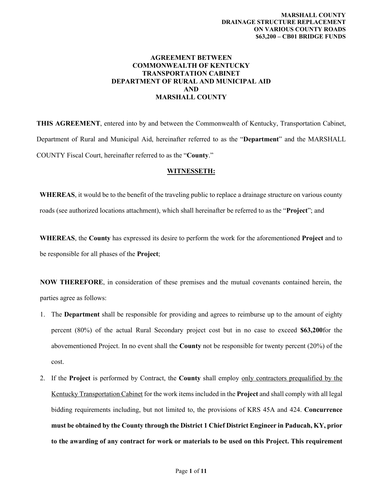#### **AGREEMENT BETWEEN COMMONWEALTH OF KENTUCKY TRANSPORTATION CABINET DEPARTMENT OF RURAL AND MUNICIPAL AID AND MARSHALL COUNTY**

**THIS AGREEMENT**, entered into by and between the Commonwealth of Kentucky, Transportation Cabinet, Department of Rural and Municipal Aid, hereinafter referred to as the "**Department**" and the MARSHALL COUNTY Fiscal Court, hereinafter referred to as the "**County**."

#### **WITNESSETH:**

**WHEREAS**, it would be to the benefit of the traveling public to replace a drainage structure on various county roads (see authorized locations attachment), which shall hereinafter be referred to as the "**Project**"; and

**WHEREAS**, the **County** has expressed its desire to perform the work for the aforementioned **Project** and to be responsible for all phases of the **Project**;

**NOW THEREFORE**, in consideration of these premises and the mutual covenants contained herein, the parties agree as follows:

- 1. The **Department** shall be responsible for providing and agrees to reimburse up to the amount of eighty percent (80%) of the actual Rural Secondary project cost but in no case to exceed **\$63,200**for the abovementioned Project. In no event shall the **County** not be responsible for twenty percent (20%) of the cost.
- 2. If the **Project** is performed by Contract, the **County** shall employ only contractors prequalified by the Kentucky Transportation Cabinet for the work items included in the **Project** and shall comply with all legal bidding requirements including, but not limited to, the provisions of KRS 45A and 424. **Concurrence must be obtained by the County through the District 1 Chief District Engineer in Paducah, KY, prior to the awarding of any contract for work or materials to be used on this Project. This requirement**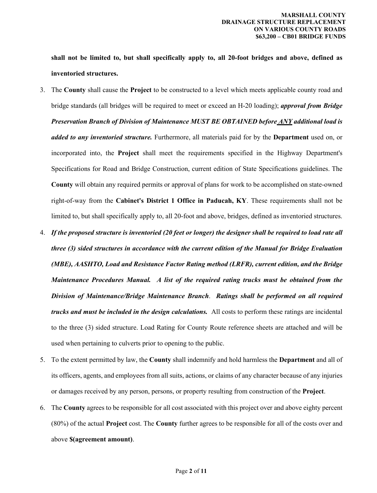**shall not be limited to, but shall specifically apply to, all 20-foot bridges and above, defined as inventoried structures.**

- 3. The **County** shall cause the **Project** to be constructed to a level which meets applicable county road and bridge standards (all bridges will be required to meet or exceed an H-20 loading); *approval from Bridge Preservation Branch of Division of Maintenance MUST BE OBTAINED before ANY additional load is added to any inventoried structure.* Furthermore, all materials paid for by the **Department** used on, or incorporated into, the **Project** shall meet the requirements specified in the Highway Department's Specifications for Road and Bridge Construction, current edition of State Specifications guidelines. The **County** will obtain any required permits or approval of plans for work to be accomplished on state-owned right-of-way from the **Cabinet's District 1 Office in Paducah, KY**. These requirements shall not be limited to, but shall specifically apply to, all 20-foot and above, bridges, defined as inventoried structures.
- 4. *If the proposed structure is inventoried (20 feet or longer) the designer shall be required to load rate all three (3) sided structures in accordance with the current edition of the Manual for Bridge Evaluation (MBE), AASHTO, Load and Resistance Factor Rating method (LRFR), current edition, and the Bridge Maintenance Procedures Manual. A list of the required rating trucks must be obtained from the Division of Maintenance/Bridge Maintenance Branch*. *Ratings shall be performed on all required trucks and must be included in the design calculations.* All costs to perform these ratings are incidental to the three (3) sided structure. Load Rating for County Route reference sheets are attached and will be used when pertaining to culverts prior to opening to the public.
- 5. To the extent permitted by law, the **County** shall indemnify and hold harmless the **Department** and all of its officers, agents, and employees from all suits, actions, or claims of any character because of any injuries or damages received by any person, persons, or property resulting from construction of the **Project**.
- 6. The **County** agrees to be responsible for all cost associated with this project over and above eighty percent (80%) of the actual **Project** cost. The **County** further agrees to be responsible for all of the costs over and above **\$(agreement amount)**.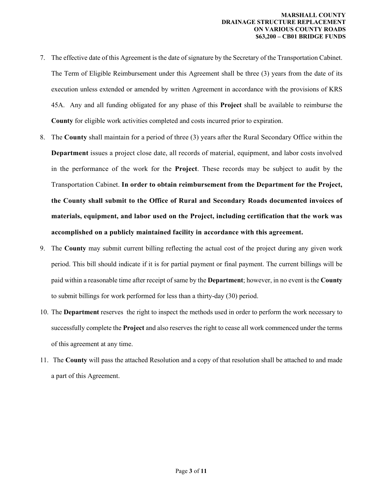- 7. The effective date of this Agreement is the date of signature by the Secretary of the Transportation Cabinet. The Term of Eligible Reimbursement under this Agreement shall be three (3) years from the date of its execution unless extended or amended by written Agreement in accordance with the provisions of KRS 45A. Any and all funding obligated for any phase of this **Project** shall be available to reimburse the **County** for eligible work activities completed and costs incurred prior to expiration.
- 8. The **County** shall maintain for a period of three (3) years after the Rural Secondary Office within the **Department** issues a project close date, all records of material, equipment, and labor costs involved in the performance of the work for the **Project**. These records may be subject to audit by the Transportation Cabinet. **In order to obtain reimbursement from the Department for the Project, the County shall submit to the Office of Rural and Secondary Roads documented invoices of materials, equipment, and labor used on the Project, including certification that the work was accomplished on a publicly maintained facility in accordance with this agreement.**
- 9. The **County** may submit current billing reflecting the actual cost of the project during any given work period. This bill should indicate if it is for partial payment or final payment. The current billings will be paid within a reasonable time after receipt of same by the **Department**; however, in no event is the **County**  to submit billings for work performed for less than a thirty-day (30) period.
- 10. The **Department** reserves the right to inspect the methods used in order to perform the work necessary to successfully complete the **Project** and also reserves the right to cease all work commenced under the terms of this agreement at any time.
- 11. The **County** will pass the attached Resolution and a copy of that resolution shall be attached to and made a part of this Agreement.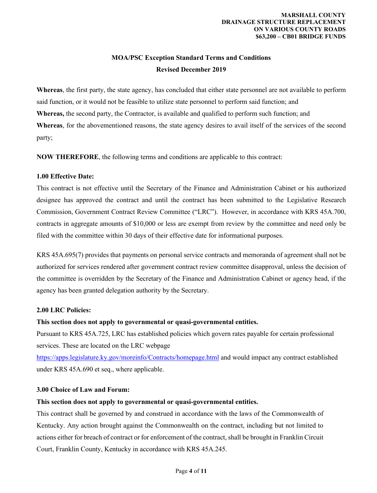# **MOA/PSC Exception Standard Terms and Conditions Revised December 2019**

**Whereas**, the first party, the state agency, has concluded that either state personnel are not available to perform said function, or it would not be feasible to utilize state personnel to perform said function; and **Whereas,** the second party, the Contractor, is available and qualified to perform such function; and **Whereas**, for the abovementioned reasons, the state agency desires to avail itself of the services of the second party;

**NOW THEREFORE**, the following terms and conditions are applicable to this contract:

### **1.00 Effective Date:**

This contract is not effective until the Secretary of the Finance and Administration Cabinet or his authorized designee has approved the contract and until the contract has been submitted to the Legislative Research Commission, Government Contract Review Committee ("LRC"). However, in accordance with KRS 45A.700, contracts in aggregate amounts of \$10,000 or less are exempt from review by the committee and need only be filed with the committee within 30 days of their effective date for informational purposes.

KRS 45A.695(7) provides that payments on personal service contracts and memoranda of agreement shall not be authorized for services rendered after government contract review committee disapproval, unless the decision of the committee is overridden by the Secretary of the Finance and Administration Cabinet or agency head, if the agency has been granted delegation authority by the Secretary.

## **2.00 LRC Policies:**

## **This section does not apply to governmental or quasi-governmental entities.**

Pursuant to KRS 45A.725, LRC has established policies which govern rates payable for certain professional services. These are located on the LRC webpage

<https://apps.legislature.ky.gov/moreinfo/Contracts/homepage.html>and would impact any contract established under KRS 45A.690 et seq., where applicable.

### **3.00 Choice of Law and Forum:**

#### **This section does not apply to governmental or quasi-governmental entities.**

This contract shall be governed by and construed in accordance with the laws of the Commonwealth of Kentucky. Any action brought against the Commonwealth on the contract, including but not limited to actions either for breach of contract or for enforcement of the contract, shall be brought in Franklin Circuit Court, Franklin County, Kentucky in accordance with KRS 45A.245.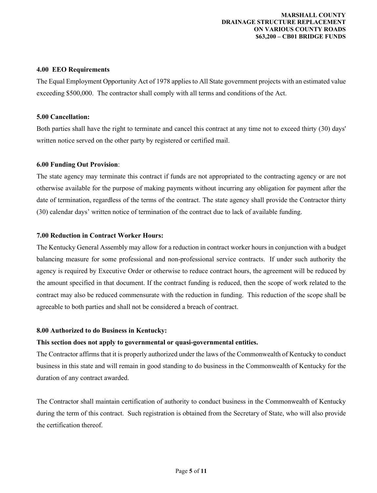#### **MARSHALL COUNTY DRAINAGE STRUCTURE REPLACEMENT ON VARIOUS COUNTY ROADS \$63,200 – CB01 BRIDGE FUNDS**

#### **4.00 EEO Requirements**

The Equal Employment Opportunity Act of 1978 applies to All State government projects with an estimated value exceeding \$500,000. The contractor shall comply with all terms and conditions of the Act.

#### **5.00 Cancellation:**

Both parties shall have the right to terminate and cancel this contract at any time not to exceed thirty (30) days' written notice served on the other party by registered or certified mail.

#### **6.00 Funding Out Provision**:

The state agency may terminate this contract if funds are not appropriated to the contracting agency or are not otherwise available for the purpose of making payments without incurring any obligation for payment after the date of termination, regardless of the terms of the contract. The state agency shall provide the Contractor thirty (30) calendar days' written notice of termination of the contract due to lack of available funding.

#### **7.00 Reduction in Contract Worker Hours:**

The Kentucky General Assembly may allow for a reduction in contract worker hours in conjunction with a budget balancing measure for some professional and non-professional service contracts. If under such authority the agency is required by Executive Order or otherwise to reduce contract hours, the agreement will be reduced by the amount specified in that document. If the contract funding is reduced, then the scope of work related to the contract may also be reduced commensurate with the reduction in funding. This reduction of the scope shall be agreeable to both parties and shall not be considered a breach of contract.

#### **8.00 Authorized to do Business in Kentucky:**

#### **This section does not apply to governmental or quasi-governmental entities.**

The Contractor affirms that it is properly authorized under the laws of the Commonwealth of Kentucky to conduct business in this state and will remain in good standing to do business in the Commonwealth of Kentucky for the duration of any contract awarded.

The Contractor shall maintain certification of authority to conduct business in the Commonwealth of Kentucky during the term of this contract. Such registration is obtained from the Secretary of State, who will also provide the certification thereof.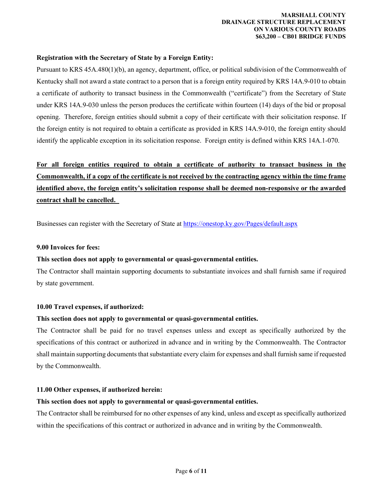#### **MARSHALL COUNTY DRAINAGE STRUCTURE REPLACEMENT ON VARIOUS COUNTY ROADS \$63,200 – CB01 BRIDGE FUNDS**

#### **Registration with the Secretary of State by a Foreign Entity:**

Pursuant to KRS 45A.480(1)(b), an agency, department, office, or political subdivision of the Commonwealth of Kentucky shall not award a state contract to a person that is a foreign entity required by KRS 14A.9-010 to obtain a certificate of authority to transact business in the Commonwealth ("certificate") from the Secretary of State under KRS 14A.9-030 unless the person produces the certificate within fourteen (14) days of the bid or proposal opening. Therefore, foreign entities should submit a copy of their certificate with their solicitation response. If the foreign entity is not required to obtain a certificate as provided in KRS 14A.9-010, the foreign entity should identify the applicable exception in its solicitation response. Foreign entity is defined within KRS 14A.1-070.

# **For all foreign entities required to obtain a certificate of authority to transact business in the Commonwealth, if a copy of the certificate is not received by the contracting agency within the time frame identified above, the foreign entity's solicitation response shall be deemed non-responsive or the awarded contract shall be cancelled.**

Businesses can register with the Secretary of State at <https://onestop.ky.gov/Pages/default.aspx>

#### **9.00 Invoices for fees:**

#### **This section does not apply to governmental or quasi-governmental entities.**

The Contractor shall maintain supporting documents to substantiate invoices and shall furnish same if required by state government.

#### **10.00 Travel expenses, if authorized:**

#### **This section does not apply to governmental or quasi-governmental entities.**

The Contractor shall be paid for no travel expenses unless and except as specifically authorized by the specifications of this contract or authorized in advance and in writing by the Commonwealth. The Contractor shall maintain supporting documents that substantiate every claim for expenses and shall furnish same if requested by the Commonwealth.

#### **11.00 Other expenses, if authorized herein:**

### **This section does not apply to governmental or quasi-governmental entities.**

The Contractor shall be reimbursed for no other expenses of any kind, unless and except as specifically authorized within the specifications of this contract or authorized in advance and in writing by the Commonwealth.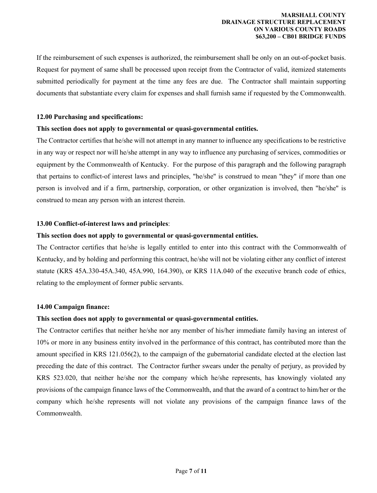If the reimbursement of such expenses is authorized, the reimbursement shall be only on an out-of-pocket basis. Request for payment of same shall be processed upon receipt from the Contractor of valid, itemized statements submitted periodically for payment at the time any fees are due. The Contractor shall maintain supporting documents that substantiate every claim for expenses and shall furnish same if requested by the Commonwealth.

#### **12.00 Purchasing and specifications:**

#### **This section does not apply to governmental or quasi-governmental entities.**

The Contractor certifies that he/she will not attempt in any manner to influence any specifications to be restrictive in any way or respect nor will he/she attempt in any way to influence any purchasing of services, commodities or equipment by the Commonwealth of Kentucky. For the purpose of this paragraph and the following paragraph that pertains to conflict-of interest laws and principles, "he/she" is construed to mean "they" if more than one person is involved and if a firm, partnership, corporation, or other organization is involved, then "he/she" is construed to mean any person with an interest therein.

#### **13.00 Conflict-of-interest laws and principles**:

#### **This section does not apply to governmental or quasi-governmental entities.**

The Contractor certifies that he/she is legally entitled to enter into this contract with the Commonwealth of Kentucky, and by holding and performing this contract, he/she will not be violating either any conflict of interest statute (KRS 45A.330-45A.340, 45A.990, 164.390), or KRS 11A.040 of the executive branch code of ethics, relating to the employment of former public servants.

#### **14.00 Campaign finance:**

#### **This section does not apply to governmental or quasi-governmental entities.**

The Contractor certifies that neither he/she nor any member of his/her immediate family having an interest of 10% or more in any business entity involved in the performance of this contract, has contributed more than the amount specified in KRS 121.056(2), to the campaign of the gubernatorial candidate elected at the election last preceding the date of this contract. The Contractor further swears under the penalty of perjury, as provided by KRS 523.020, that neither he/she nor the company which he/she represents, has knowingly violated any provisions of the campaign finance laws of the Commonwealth, and that the award of a contract to him/her or the company which he/she represents will not violate any provisions of the campaign finance laws of the Commonwealth.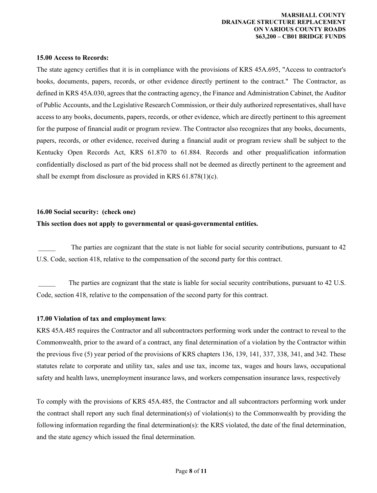#### **15.00 Access to Records:**

The state agency certifies that it is in compliance with the provisions of KRS 45A.695, "Access to contractor's books, documents, papers, records, or other evidence directly pertinent to the contract." The Contractor, as defined in KRS 45A.030, agrees that the contracting agency, the Finance and Administration Cabinet, the Auditor of Public Accounts, and the Legislative Research Commission, or their duly authorized representatives, shall have access to any books, documents, papers, records, or other evidence, which are directly pertinent to this agreement for the purpose of financial audit or program review. The Contractor also recognizes that any books, documents, papers, records, or other evidence, received during a financial audit or program review shall be subject to the Kentucky Open Records Act, KRS 61.870 to 61.884. Records and other prequalification information confidentially disclosed as part of the bid process shall not be deemed as directly pertinent to the agreement and shall be exempt from disclosure as provided in KRS 61.878(1)(c).

#### **16.00 Social security: (check one)**

#### **This section does not apply to governmental or quasi-governmental entities.**

The parties are cognizant that the state is not liable for social security contributions, pursuant to 42 U.S. Code, section 418, relative to the compensation of the second party for this contract.

The parties are cognizant that the state is liable for social security contributions, pursuant to 42 U.S. Code, section 418, relative to the compensation of the second party for this contract.

#### **17.00 Violation of tax and employment laws**:

KRS 45A.485 requires the Contractor and all subcontractors performing work under the contract to reveal to the Commonwealth, prior to the award of a contract, any final determination of a violation by the Contractor within the previous five (5) year period of the provisions of KRS chapters 136, 139, 141, 337, 338, 341, and 342. These statutes relate to corporate and utility tax, sales and use tax, income tax, wages and hours laws, occupational safety and health laws, unemployment insurance laws, and workers compensation insurance laws, respectively

To comply with the provisions of KRS 45A.485, the Contractor and all subcontractors performing work under the contract shall report any such final determination(s) of violation(s) to the Commonwealth by providing the following information regarding the final determination(s): the KRS violated, the date of the final determination, and the state agency which issued the final determination.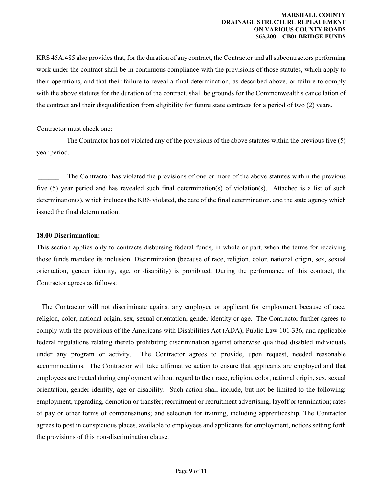KRS 45A.485 also provides that, for the duration of any contract, the Contractor and all subcontractors performing work under the contract shall be in continuous compliance with the provisions of those statutes, which apply to their operations, and that their failure to reveal a final determination, as described above, or failure to comply with the above statutes for the duration of the contract, shall be grounds for the Commonwealth's cancellation of the contract and their disqualification from eligibility for future state contracts for a period of two (2) years.

Contractor must check one:

The Contractor has not violated any of the provisions of the above statutes within the previous five  $(5)$ year period.

The Contractor has violated the provisions of one or more of the above statutes within the previous five (5) year period and has revealed such final determination(s) of violation(s). Attached is a list of such determination(s), which includes the KRS violated, the date of the final determination, and the state agency which issued the final determination.

#### **18.00 Discrimination:**

This section applies only to contracts disbursing federal funds, in whole or part, when the terms for receiving those funds mandate its inclusion. Discrimination (because of race, religion, color, national origin, sex, sexual orientation, gender identity, age, or disability) is prohibited. During the performance of this contract, the Contractor agrees as follows:

 The Contractor will not discriminate against any employee or applicant for employment because of race, religion, color, national origin, sex, sexual orientation, gender identity or age. The Contractor further agrees to comply with the provisions of the Americans with Disabilities Act (ADA), Public Law 101-336, and applicable federal regulations relating thereto prohibiting discrimination against otherwise qualified disabled individuals under any program or activity. The Contractor agrees to provide, upon request, needed reasonable accommodations. The Contractor will take affirmative action to ensure that applicants are employed and that employees are treated during employment without regard to their race, religion, color, national origin, sex, sexual orientation, gender identity, age or disability. Such action shall include, but not be limited to the following: employment, upgrading, demotion or transfer; recruitment or recruitment advertising; layoff or termination; rates of pay or other forms of compensations; and selection for training, including apprenticeship. The Contractor agrees to post in conspicuous places, available to employees and applicants for employment, notices setting forth the provisions of this non-discrimination clause.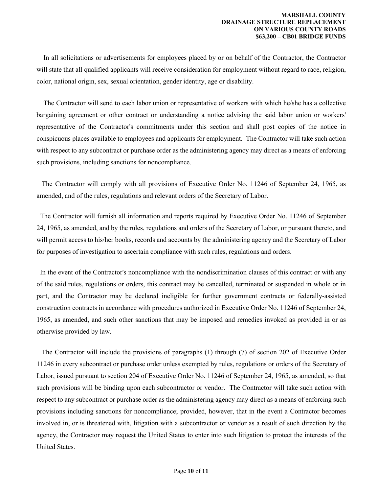In all solicitations or advertisements for employees placed by or on behalf of the Contractor, the Contractor will state that all qualified applicants will receive consideration for employment without regard to race, religion, color, national origin, sex, sexual orientation, gender identity, age or disability.

 The Contractor will send to each labor union or representative of workers with which he/she has a collective bargaining agreement or other contract or understanding a notice advising the said labor union or workers' representative of the Contractor's commitments under this section and shall post copies of the notice in conspicuous places available to employees and applicants for employment. The Contractor will take such action with respect to any subcontract or purchase order as the administering agency may direct as a means of enforcing such provisions, including sanctions for noncompliance.

 The Contractor will comply with all provisions of Executive Order No. 11246 of September 24, 1965, as amended, and of the rules, regulations and relevant orders of the Secretary of Labor.

 The Contractor will furnish all information and reports required by Executive Order No. 11246 of September 24, 1965, as amended, and by the rules, regulations and orders of the Secretary of Labor, or pursuant thereto, and will permit access to his/her books, records and accounts by the administering agency and the Secretary of Labor for purposes of investigation to ascertain compliance with such rules, regulations and orders.

 In the event of the Contractor's noncompliance with the nondiscrimination clauses of this contract or with any of the said rules, regulations or orders, this contract may be cancelled, terminated or suspended in whole or in part, and the Contractor may be declared ineligible for further government contracts or federally-assisted construction contracts in accordance with procedures authorized in Executive Order No. 11246 of September 24, 1965, as amended, and such other sanctions that may be imposed and remedies invoked as provided in or as otherwise provided by law.

 The Contractor will include the provisions of paragraphs (1) through (7) of section 202 of Executive Order 11246 in every subcontract or purchase order unless exempted by rules, regulations or orders of the Secretary of Labor, issued pursuant to section 204 of Executive Order No. 11246 of September 24, 1965, as amended, so that such provisions will be binding upon each subcontractor or vendor. The Contractor will take such action with respect to any subcontract or purchase order as the administering agency may direct as a means of enforcing such provisions including sanctions for noncompliance; provided, however, that in the event a Contractor becomes involved in, or is threatened with, litigation with a subcontractor or vendor as a result of such direction by the agency, the Contractor may request the United States to enter into such litigation to protect the interests of the United States.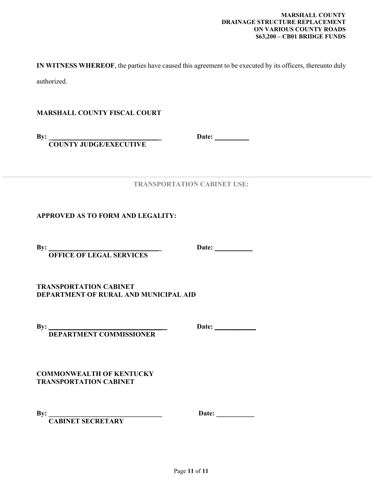**IN WITNESS WHEREOF**, the parties have caused this agreement to be executed by its officers, thereunto duly authorized.

**MARSHALL COUNTY FISCAL COURT**

**By: \_\_\_\_\_\_\_\_\_\_\_\_\_\_\_\_\_\_\_\_\_\_\_\_\_\_\_\_\_\_\_\_\_ Date: \_\_\_\_\_\_\_\_\_\_ COUNTY JUDGE/EXECUTIVE**

**TRANSPORTATION CABINET USE:**

**APPROVED AS TO FORM AND LEGALITY:**

**By: \_\_\_\_\_\_\_\_\_\_\_\_\_\_\_\_\_\_\_\_\_\_\_\_\_\_\_\_\_\_\_\_\_ Date: \_\_\_\_\_\_\_\_\_\_\_ OFFICE OF LEGAL SERVICES**

**TRANSPORTATION CABINET DEPARTMENT OF RURAL AND MUNICIPAL AID**

 **DEPARTMENT COMMISSIONER**

**By: \_\_\_\_\_\_\_\_\_\_\_\_\_\_\_\_\_\_\_\_\_\_\_\_\_\_\_\_\_\_\_\_\_ Date: \_\_\_\_\_\_\_\_\_\_\_\_** 

**COMMONWEALTH OF KENTUCKY TRANSPORTATION CABINET**

 **CABINET SECRETARY** 

**By: \_\_\_\_\_\_\_\_\_\_\_\_\_\_\_\_\_\_\_\_\_\_\_\_\_\_\_\_\_\_\_\_\_ Date: \_\_\_\_\_\_\_\_\_\_\_**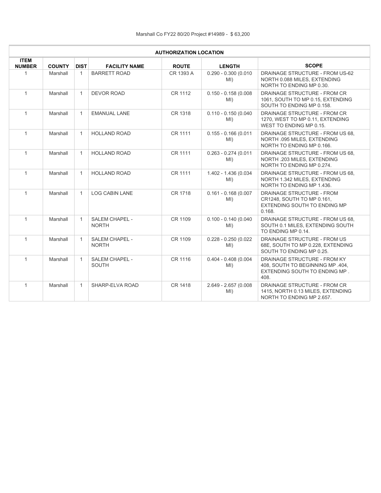| <b>AUTHORIZATION LOCATION</b> |               |              |                                       |              |                               |                                                                                                           |  |  |  |
|-------------------------------|---------------|--------------|---------------------------------------|--------------|-------------------------------|-----------------------------------------------------------------------------------------------------------|--|--|--|
| <b>ITEM</b><br><b>NUMBER</b>  | <b>COUNTY</b> | <b>DIST</b>  | <b>FACILITY NAME</b>                  | <b>ROUTE</b> | <b>LENGTH</b>                 | <b>SCOPE</b>                                                                                              |  |  |  |
| 1                             | Marshall      | 1            | <b>BARRETT ROAD</b>                   | CR 1393 A    | $0.290 - 0.300(0.010)$<br>MI) | DRAINAGE STRUCTURE - FROM US-62<br>NORTH 0.088 MILES, EXTENDING<br>NORTH TO ENDING MP 0.30.               |  |  |  |
| $\mathbf{1}$                  | Marshall      | $\mathbf{1}$ | <b>DEVOR ROAD</b>                     | CR 1112      | $0.150 - 0.158(0.008)$<br>MI) | DRAINAGE STRUCTURE - FROM CR<br>1061, SOUTH TO MP 0.15, EXTENDING<br>SOUTH TO ENDING MP 0.158.            |  |  |  |
| $\mathbf{1}$                  | Marshall      | $\mathbf{1}$ | <b>EMANUAL LANE</b>                   | CR 1318      | $0.110 - 0.150(0.040)$<br>MI) | DRAINAGE STRUCTURE - FROM CR<br>1270, WEST TO MP 0.11, EXTENDING<br>WEST TO ENDING MP 0.15.               |  |  |  |
| $\mathbf{1}$                  | Marshall      | $\mathbf{1}$ | <b>HOLLAND ROAD</b>                   | CR 1111      | $0.155 - 0.166(0.011)$<br>MI) | DRAINAGE STRUCTURE - FROM US 68.<br>NORTH .095 MILES, EXTENDING<br>NORTH TO ENDING MP 0.166.              |  |  |  |
| $\mathbf{1}$                  | Marshall      | $\mathbf{1}$ | <b>HOLLAND ROAD</b>                   | CR 1111      | $0.263 - 0.274(0.011)$<br>MI) | DRAINAGE STRUCTURE - FROM US 68.<br>NORTH .203 MILES, EXTENDING<br>NORTH TO ENDING MP 0.274.              |  |  |  |
| $\mathbf{1}$                  | Marshall      | $\mathbf{1}$ | <b>HOLLAND ROAD</b>                   | CR 1111      | 1.402 - 1.436 (0.034<br>MI)   | DRAINAGE STRUCTURE - FROM US 68.<br>NORTH 1.342 MILES, EXTENDING<br>NORTH TO ENDING MP 1.436.             |  |  |  |
| $\mathbf{1}$                  | Marshall      | $\mathbf{1}$ | <b>LOG CABIN LANE</b>                 | CR 1718      | $0.161 - 0.168(0.007)$<br>MI) | DRAINAGE STRUCTURE - FROM<br>CR1248, SOUTH TO MP 0.161,<br>EXTENDING SOUTH TO ENDING MP<br>0.168.         |  |  |  |
| $\mathbf{1}$                  | Marshall      | $\mathbf{1}$ | <b>SALEM CHAPEL -</b><br><b>NORTH</b> | CR 1109      | $0.100 - 0.140(0.040)$<br>MI) | DRAINAGE STRUCTURE - FROM US 68.<br>SOUTH 0.1 MILES, EXTENDING SOUTH<br>TO ENDING MP 0.14.                |  |  |  |
| $\mathbf{1}$                  | Marshall      | $\mathbf{1}$ | <b>SALEM CHAPEL -</b><br><b>NORTH</b> | CR 1109      | $0.228 - 0.250(0.022)$<br>MI) | DRAINAGE STRUCTURE - FROM US<br>68E, SOUTH TO MP 0.228, EXTENDING<br>SOUTH TO ENDING MP 0.25.             |  |  |  |
| $\mathbf{1}$                  | Marshall      | $\mathbf{1}$ | SALEM CHAPEL -<br><b>SOUTH</b>        | CR 1116      | $0.404 - 0.408(0.004)$<br>MI) | DRAINAGE STRUCTURE - FROM KY<br>408, SOUTH TO BEGINNING MP .404,<br>EXTENDING SOUTH TO ENDING MP.<br>408. |  |  |  |
| $\mathbf{1}$                  | Marshall      | $\mathbf{1}$ | SHARP-ELVA ROAD                       | CR 1418      | 2.649 - 2.657 (0.008<br>MI)   | DRAINAGE STRUCTURE - FROM CR<br>1415, NORTH 0.13 MILES, EXTENDING<br>NORTH TO ENDING MP 2.657.            |  |  |  |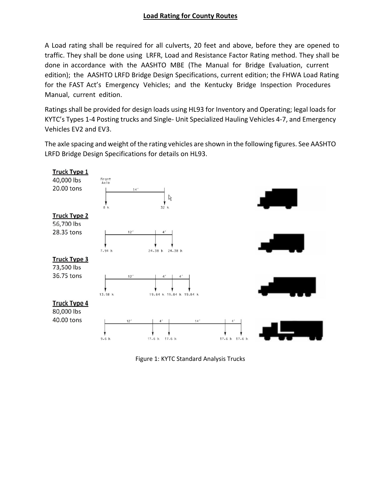# **Load Rating for County Routes**

A Load rating shall be required for all culverts, 20 feet and above, before they are opened to traffic. They shall be done using LRFR, Load and Resistance Factor Rating method. They shall be done in accordance with the AASHTO MBE (The Manual for Bridge Evaluation, current edition); the AASHTO LRFD Bridge Design Specifications, current edition; the FHWA Load Rating for the FAST Act's Emergency Vehicles; and the Kentucky Bridge Inspection Procedures Manual, current edition.

Ratings shall be provided for design loads using HL93 for Inventory and Operating; legal loads for KYTC's Types 1‐4 Posting trucks and Single‐ Unit Specialized Hauling Vehicles 4‐7, and Emergency Vehicles EV2 and EV3.

The axle spacing and weight of the rating vehicles are shown in the following figures. See AASHTO LRFD Bridge Design Specifications for details on HL93.



Figure 1: KYTC Standard Analysis Trucks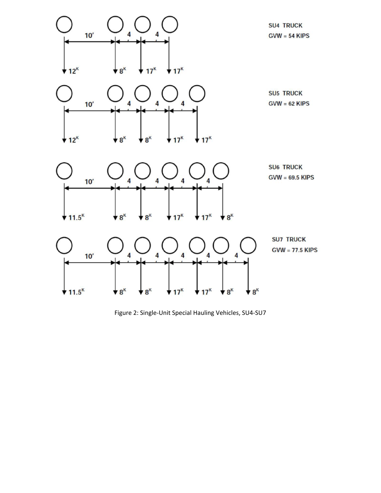

Figure 2: Single‐Unit Special Hauling Vehicles, SU4‐SU7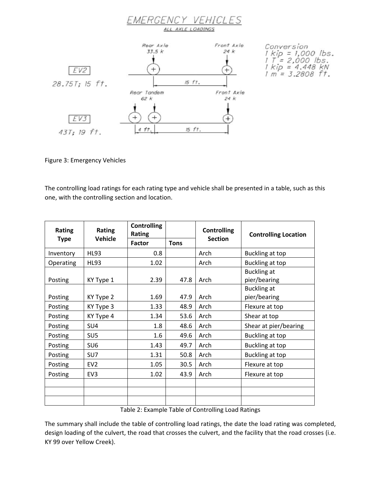

Figure 3: Emergency Vehicles

The controlling load ratings for each rating type and vehicle shall be presented in a table, such as this one, with the controlling section and location.

| <b>Rating</b> | Rating          | <b>Controlling</b><br>Rating |             | <b>Controlling</b> | <b>Controlling Location</b>        |
|---------------|-----------------|------------------------------|-------------|--------------------|------------------------------------|
| <b>Type</b>   | <b>Vehicle</b>  | <b>Factor</b>                | <b>Tons</b> | <b>Section</b>     |                                    |
| Inventory     | <b>HL93</b>     | 0.8                          |             | Arch               | Buckling at top                    |
| Operating     | <b>HL93</b>     | 1.02                         |             | Arch               | Buckling at top                    |
| Posting       | KY Type 1       | 2.39                         | 47.8        | Arch               | <b>Buckling at</b><br>pier/bearing |
| Posting       | KY Type 2       | 1.69                         | 47.9        | Arch               | <b>Buckling at</b><br>pier/bearing |
| Posting       | KY Type 3       | 1.33                         | 48.9        | Arch               | Flexure at top                     |
| Posting       | KY Type 4       | 1.34                         | 53.6        | Arch               | Shear at top                       |
| Posting       | SU4             | 1.8                          | 48.6        | Arch               | Shear at pier/bearing              |
| Posting       | SU <sub>5</sub> | 1.6                          | 49.6        | Arch               | Buckling at top                    |
| Posting       | SU <sub>6</sub> | 1.43                         | 49.7        | Arch               | Buckling at top                    |
| Posting       | SU <sub>7</sub> | 1.31                         | 50.8        | Arch               | Buckling at top                    |
| Posting       | EV <sub>2</sub> | 1.05                         | 30.5        | Arch               | Flexure at top                     |
| Posting       | EV <sub>3</sub> | 1.02                         | 43.9        | Arch               | Flexure at top                     |
|               |                 |                              |             |                    |                                    |
|               |                 |                              |             |                    |                                    |

Table 2: Example Table of Controlling Load Ratings

The summary shall include the table of controlling load ratings, the date the load rating was completed, design loading of the culvert, the road that crosses the culvert, and the facility that the road crosses (i.e. KY 99 over Yellow Creek).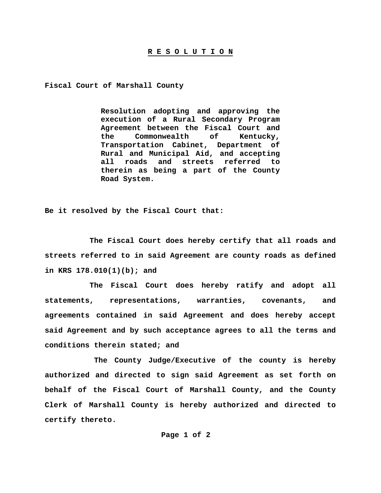#### **R E S O L U T I O N**

**Fiscal Court of Marshall County** 

**Resolution adopting and approving the execution of a Rural Secondary Program Agreement between the Fiscal Court and the Commonwealth of Kentucky, Transportation Cabinet, Department of Rural and Municipal Aid, and accepting all roads and streets referred to therein as being a part of the County Road System.** 

**Be it resolved by the Fiscal Court that:** 

 **The Fiscal Court does hereby certify that all roads and streets referred to in said Agreement are county roads as defined in KRS 178.010(1)(b); and** 

 **The Fiscal Court does hereby ratify and adopt all statements, representations, warranties, covenants, and agreements contained in said Agreement and does hereby accept said Agreement and by such acceptance agrees to all the terms and conditions therein stated; and** 

 **The County Judge/Executive of the county is hereby authorized and directed to sign said Agreement as set forth on behalf of the Fiscal Court of Marshall County, and the County Clerk of Marshall County is hereby authorized and directed to certify thereto.** 

 **Page 1 of 2**